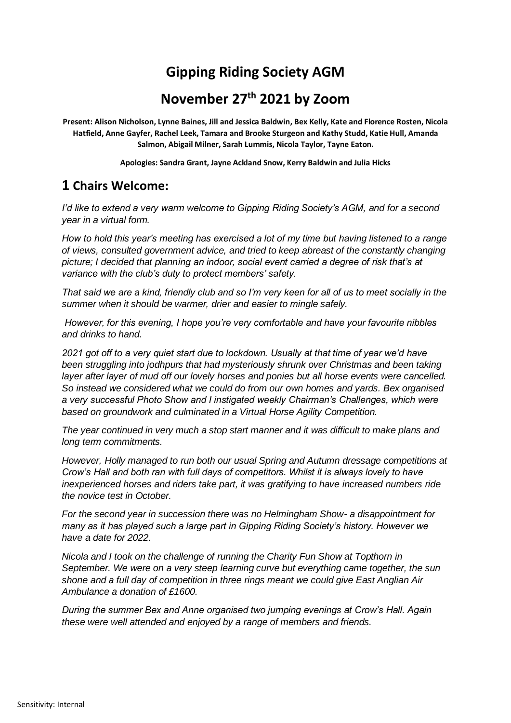# **Gipping Riding Society AGM**

## **November 27th 2021 by Zoom**

**Present: Alison Nicholson, Lynne Baines, Jill and Jessica Baldwin, Bex Kelly, Kate and Florence Rosten, Nicola Hatfield, Anne Gayfer, Rachel Leek, Tamara and Brooke Sturgeon and Kathy Studd, Katie Hull, Amanda Salmon, Abigail Milner, Sarah Lummis, Nicola Taylor, Tayne Eaton.**

**Apologies: Sandra Grant, Jayne Ackland Snow, Kerry Baldwin and Julia Hicks** 

## **1 Chairs Welcome:**

*I'd like to extend a very warm welcome to Gipping Riding Society's AGM, and for a second year in a virtual form.*

*How to hold this year's meeting has exercised a lot of my time but having listened to a range of views, consulted government advice, and tried to keep abreast of the constantly changing picture; I decided that planning an indoor, social event carried a degree of risk that's at variance with the club's duty to protect members' safety.*

*That said we are a kind, friendly club and so I'm very keen for all of us to meet socially in the summer when it should be warmer, drier and easier to mingle safely.*

*However, for this evening, I hope you're very comfortable and have your favourite nibbles and drinks to hand.* 

*2021 got off to a very quiet start due to lockdown. Usually at that time of year we'd have been struggling into jodhpurs that had mysteriously shrunk over Christmas and been taking layer after layer of mud off our lovely horses and ponies but all horse events were cancelled. So instead we considered what we could do from our own homes and yards. Bex organised a very successful Photo Show and I instigated weekly Chairman's Challenges, which were based on groundwork and culminated in a Virtual Horse Agility Competition.*

*The year continued in very much a stop start manner and it was difficult to make plans and long term commitments.* 

*However, Holly managed to run both our usual Spring and Autumn dressage competitions at Crow's Hall and both ran with full days of competitors. Whilst it is always lovely to have inexperienced horses and riders take part, it was gratifying to have increased numbers ride the novice test in October.* 

*For the second year in succession there was no Helmingham Show- a disappointment for many as it has played such a large part in Gipping Riding Society's history. However we have a date for 2022.*

*Nicola and I took on the challenge of running the Charity Fun Show at Topthorn in September. We were on a very steep learning curve but everything came together, the sun shone and a full day of competition in three rings meant we could give East Anglian Air Ambulance a donation of £1600.*

*During the summer Bex and Anne organised two jumping evenings at Crow's Hall. Again these were well attended and enjoyed by a range of members and friends.*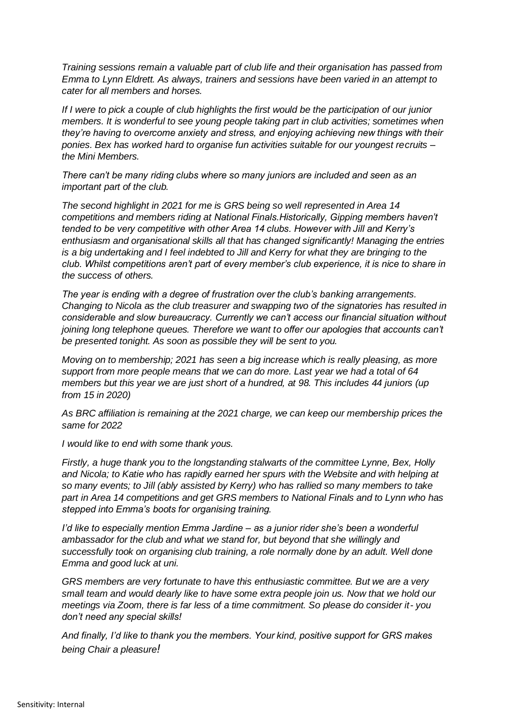*Training sessions remain a valuable part of club life and their organisation has passed from Emma to Lynn Eldrett. As always, trainers and sessions have been varied in an attempt to cater for all members and horses.*

*If I were to pick a couple of club highlights the first would be the participation of our junior members. It is wonderful to see young people taking part in club activities; sometimes when they're having to overcome anxiety and stress, and enjoying achieving new things with their ponies. Bex has worked hard to organise fun activities suitable for our youngest recruits – the Mini Members.* 

*There can't be many riding clubs where so many juniors are included and seen as an important part of the club.*

*The second highlight in 2021 for me is GRS being so well represented in Area 14 competitions and members riding at National Finals.Historically, Gipping members haven't tended to be very competitive with other Area 14 clubs. However with Jill and Kerry's enthusiasm and organisational skills all that has changed significantly! Managing the entries is a big undertaking and I feel indebted to Jill and Kerry for what they are bringing to the club. Whilst competitions aren't part of every member's club experience, it is nice to share in the success of others.*

*The year is ending with a degree of frustration over the club's banking arrangements. Changing to Nicola as the club treasurer and swapping two of the signatories has resulted in considerable and slow bureaucracy. Currently we can't access our financial situation without joining long telephone queues. Therefore we want to offer our apologies that accounts can't be presented tonight. As soon as possible they will be sent to you.* 

*Moving on to membership; 2021 has seen a big increase which is really pleasing, as more support from more people means that we can do more. Last year we had a total of 64 members but this year we are just short of a hundred, at 98. This includes 44 juniors (up from 15 in 2020)*

*As BRC affiliation is remaining at the 2021 charge, we can keep our membership prices the same for 2022*

*I would like to end with some thank yous.* 

*Firstly, a huge thank you to the longstanding stalwarts of the committee Lynne, Bex, Holly and Nicola; to Katie who has rapidly earned her spurs with the Website and with helping at so many events; to Jill (ably assisted by Kerry) who has rallied so many members to take part in Area 14 competitions and get GRS members to National Finals and to Lynn who has stepped into Emma's boots for organising training.* 

*I'd like to especially mention Emma Jardine – as a junior rider she's been a wonderful ambassador for the club and what we stand for, but beyond that she willingly and successfully took on organising club training, a role normally done by an adult. Well done Emma and good luck at uni.* 

*GRS members are very fortunate to have this enthusiastic committee. But we are a very small team and would dearly like to have some extra people join us. Now that we hold our meetings via Zoom, there is far less of a time commitment. So please do consider it- you don't need any special skills!*

*And finally, I'd like to thank you the members. Your kind, positive support for GRS makes being Chair a pleasure!*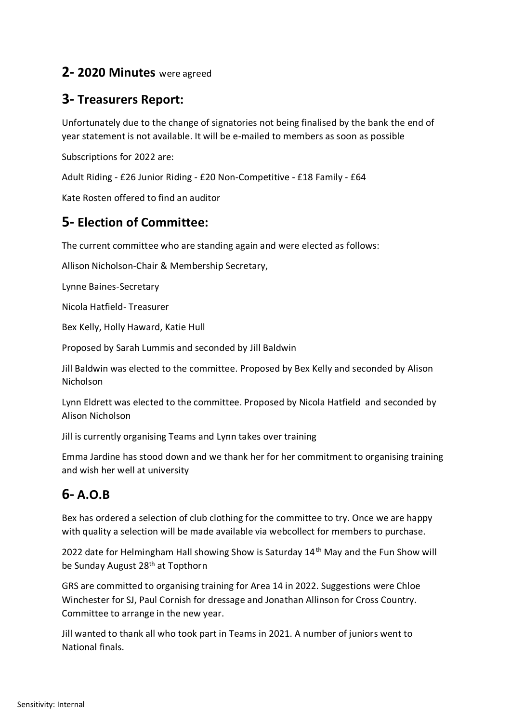#### **2- 2020 Minutes** were agreed

#### **3- Treasurers Report:**

Unfortunately due to the change of signatories not being finalised by the bank the end of year statement is not available. It will be e-mailed to members as soon as possible

Subscriptions for 2022 are:

Adult Riding - £26 Junior Riding - £20 Non-Competitive - £18 Family - £64

Kate Rosten offered to find an auditor

### **5- Election of Committee:**

The current committee who are standing again and were elected as follows:

Allison Nicholson-Chair & Membership Secretary,

Lynne Baines-Secretary

Nicola Hatfield- Treasurer

Bex Kelly, Holly Haward, Katie Hull

Proposed by Sarah Lummis and seconded by Jill Baldwin

Jill Baldwin was elected to the committee. Proposed by Bex Kelly and seconded by Alison Nicholson

Lynn Eldrett was elected to the committee. Proposed by Nicola Hatfield and seconded by Alison Nicholson

Jill is currently organising Teams and Lynn takes over training

Emma Jardine has stood down and we thank her for her commitment to organising training and wish her well at university

# **6- A.O.B**

Bex has ordered a selection of club clothing for the committee to try. Once we are happy with quality a selection will be made available via webcollect for members to purchase.

2022 date for Helmingham Hall showing Show is Saturday 14<sup>th</sup> May and the Fun Show will be Sunday August 28th at Topthorn

GRS are committed to organising training for Area 14 in 2022. Suggestions were Chloe Winchester for SJ, Paul Cornish for dressage and Jonathan Allinson for Cross Country. Committee to arrange in the new year.

Jill wanted to thank all who took part in Teams in 2021. A number of juniors went to National finals.